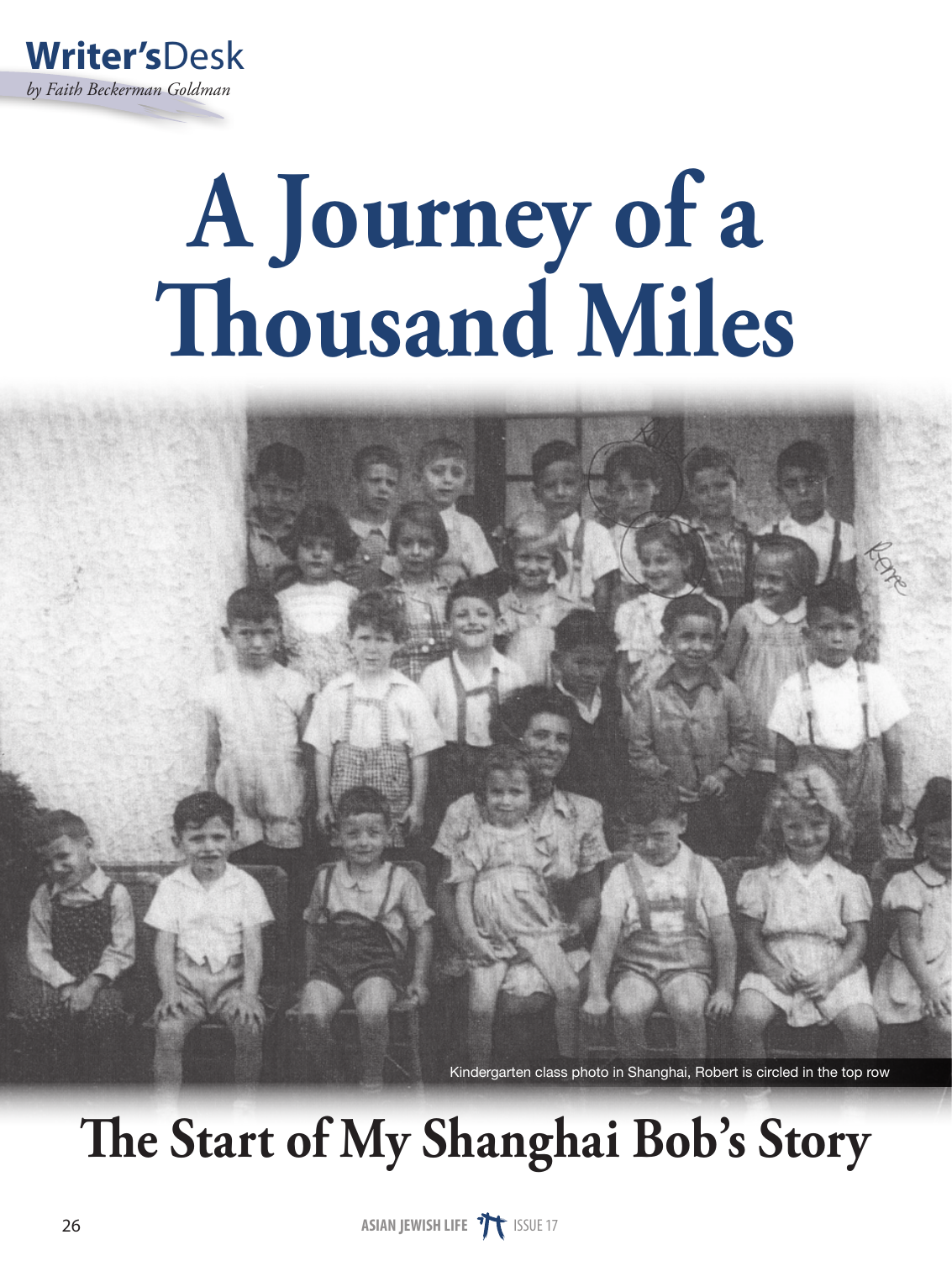

## **A Journey of a Thousand Miles**

Kindergarten class photo in Shanghai, Robert is circled in the top row

## **The Start of My Shanghai Bob's Story**

**ASIAN JEWISH LIFE THE** ISSUE 17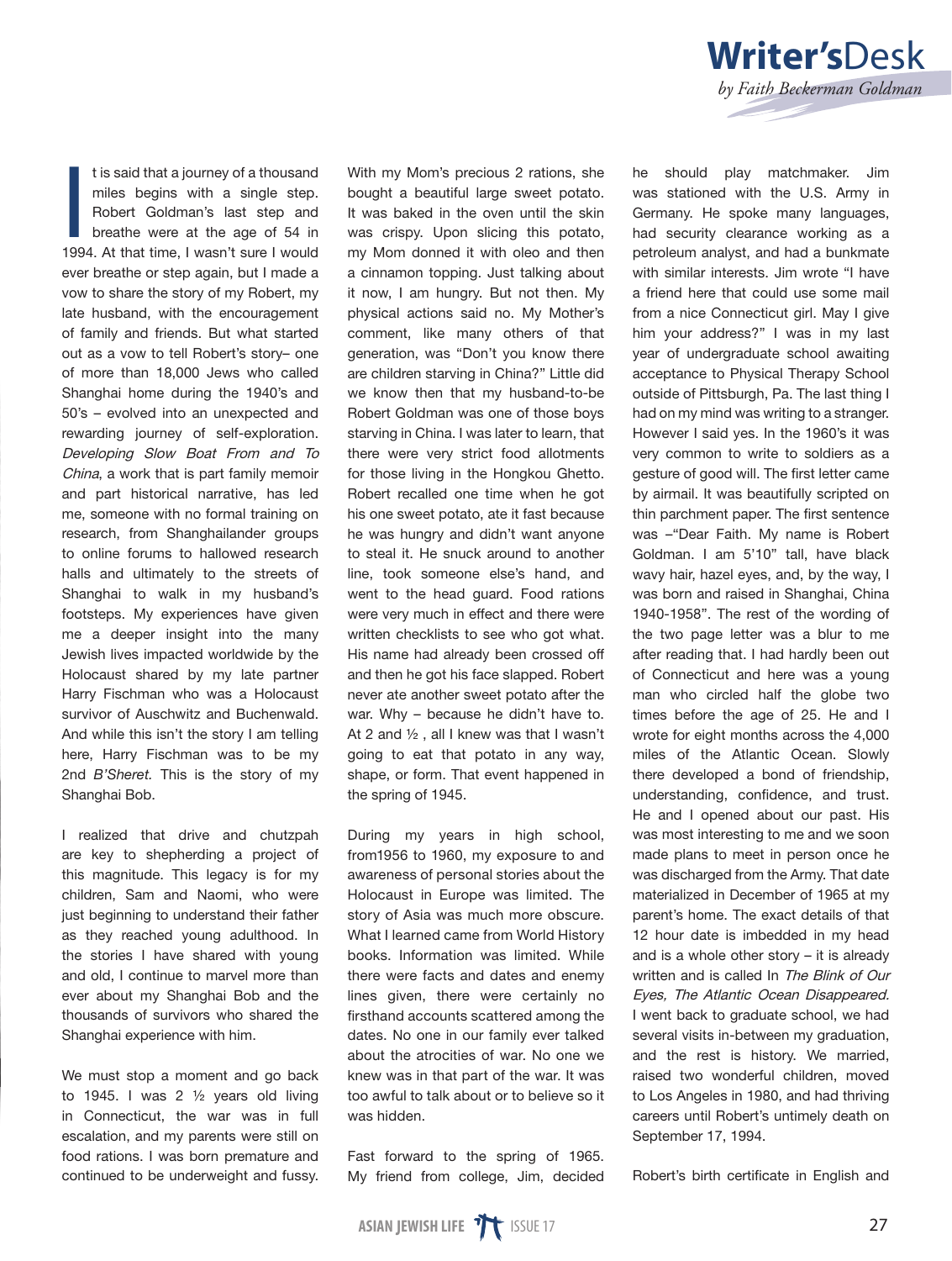

I realized that drive and chutzpah are key to shepherding a project of this magnitude. This legacy is for my children, Sam and Naomi, who were just beginning to understand their father as they reached young adulthood. In the stories I have shared with young and old, I continue to marvel more than ever about my Shanghai Bob and the thousands of survivors who shared the Shanghai experience with him.

We must stop a moment and go back to 1945. I was 2  $\frac{1}{2}$  years old living in Connecticut, the war was in full escalation, and my parents were still on food rations. I was born premature and continued to be underweight and fussy.

With my Mom's precious 2 rations, she bought a beautiful large sweet potato. It was baked in the oven until the skin was crispy. Upon slicing this potato, my Mom donned it with oleo and then a cinnamon topping. Just talking about it now, I am hungry. But not then. My physical actions said no. My Mother's comment, like many others of that generation, was "Don't you know there are children starving in China?" Little did we know then that my husband-to-be Robert Goldman was one of those boys starving in China. I was later to learn, that there were very strict food allotments for those living in the Hongkou Ghetto. Robert recalled one time when he got his one sweet potato, ate it fast because he was hungry and didn't want anyone to steal it. He snuck around to another line, took someone else's hand, and went to the head guard. Food rations were very much in effect and there were written checklists to see who got what. His name had already been crossed off and then he got his face slapped. Robert never ate another sweet potato after the war. Why – because he didn't have to. At 2 and ½ , all I knew was that I wasn't going to eat that potato in any way, shape, or form. That event happened in the spring of 1945.

During my years in high school, from1956 to 1960, my exposure to and awareness of personal stories about the Holocaust in Europe was limited. The story of Asia was much more obscure. What I learned came from World History books. Information was limited. While there were facts and dates and enemy lines given, there were certainly no firsthand accounts scattered among the dates. No one in our family ever talked about the atrocities of war. No one we knew was in that part of the war. It was too awful to talk about or to believe so it was hidden.

Fast forward to the spring of 1965. My friend from college, Jim, decided



*by Faith Beckerman Goldman* 

**Writer's**Desk

Robert's birth certificate in English and

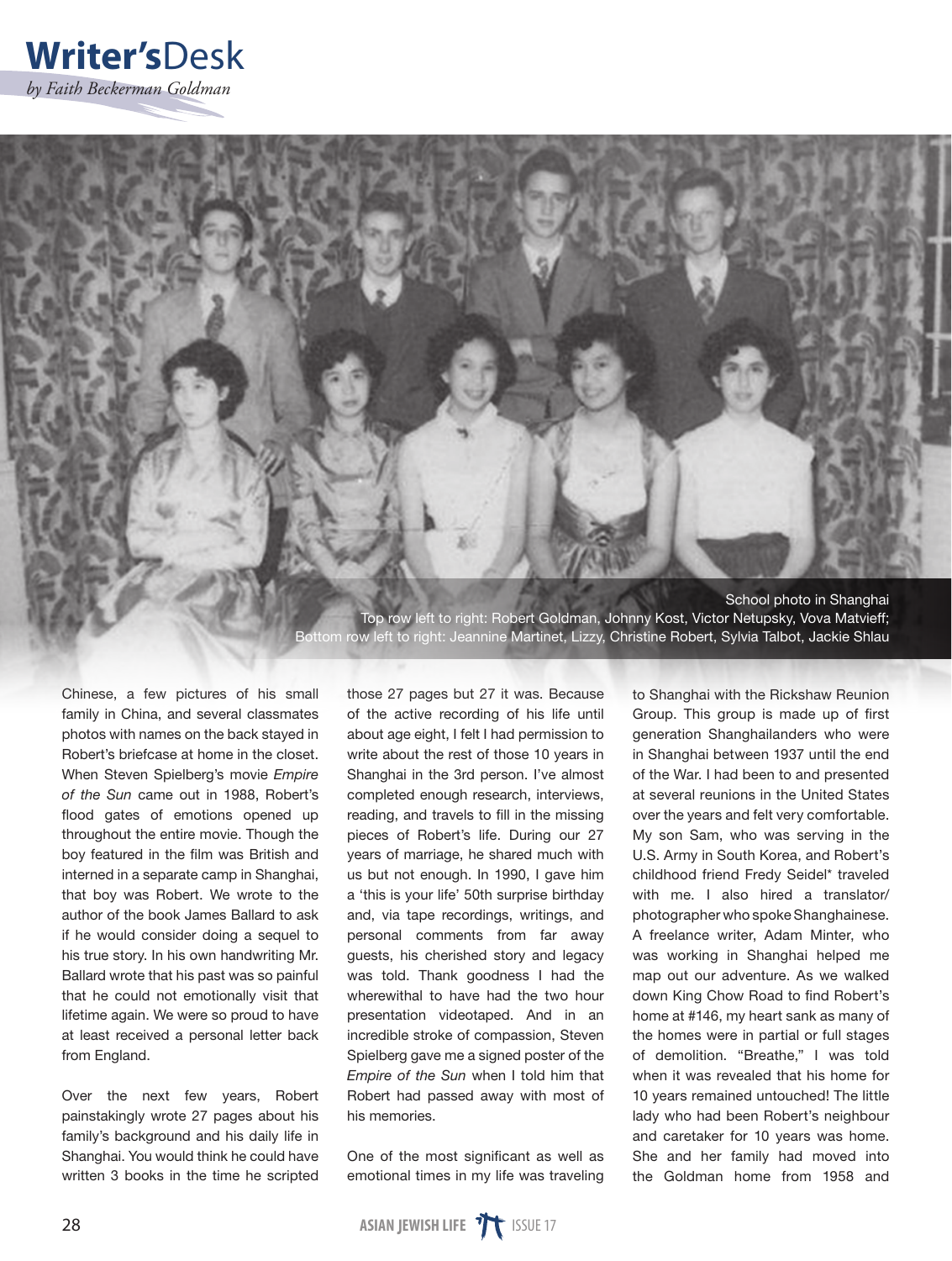



Chinese, a few pictures of his small family in China, and several classmates photos with names on the back stayed in Robert's briefcase at home in the closet. When Steven Spielberg's movie *Empire of the Sun* came out in 1988, Robert's flood gates of emotions opened up throughout the entire movie. Though the boy featured in the film was British and interned in a separate camp in Shanghai, that boy was Robert. We wrote to the author of the book James Ballard to ask if he would consider doing a sequel to his true story. In his own handwriting Mr. Ballard wrote that his past was so painful that he could not emotionally visit that lifetime again. We were so proud to have at least received a personal letter back from England.

Over the next few years, Robert painstakingly wrote 27 pages about his family's background and his daily life in Shanghai. You would think he could have written 3 books in the time he scripted those 27 pages but 27 it was. Because of the active recording of his life until about age eight, I felt I had permission to write about the rest of those 10 years in Shanghai in the 3rd person. I've almost completed enough research, interviews, reading, and travels to fill in the missing pieces of Robert's life. During our 27 years of marriage, he shared much with us but not enough. In 1990, I gave him a 'this is your life' 50th surprise birthday and, via tape recordings, writings, and personal comments from far away guests, his cherished story and legacy was told. Thank goodness I had the wherewithal to have had the two hour presentation videotaped. And in an incredible stroke of compassion, Steven Spielberg gave me a signed poster of the *Empire of the Sun* when I told him that Robert had passed away with most of his memories.

One of the most significant as well as emotional times in my life was traveling to Shanghai with the Rickshaw Reunion Group. This group is made up of first generation Shanghailanders who were in Shanghai between 1937 until the end of the War. I had been to and presented at several reunions in the United States over the years and felt very comfortable. My son Sam, who was serving in the U.S. Army in South Korea, and Robert's childhood friend Fredy Seidel\* traveled with me. I also hired a translator/ photographer who spoke Shanghainese. A freelance writer, Adam Minter, who was working in Shanghai helped me map out our adventure. As we walked down King Chow Road to find Robert's home at #146, my heart sank as many of the homes were in partial or full stages of demolition. "Breathe," I was told when it was revealed that his home for 10 years remained untouched! The little lady who had been Robert's neighbour and caretaker for 10 years was home. She and her family had moved into the Goldman home from 1958 and